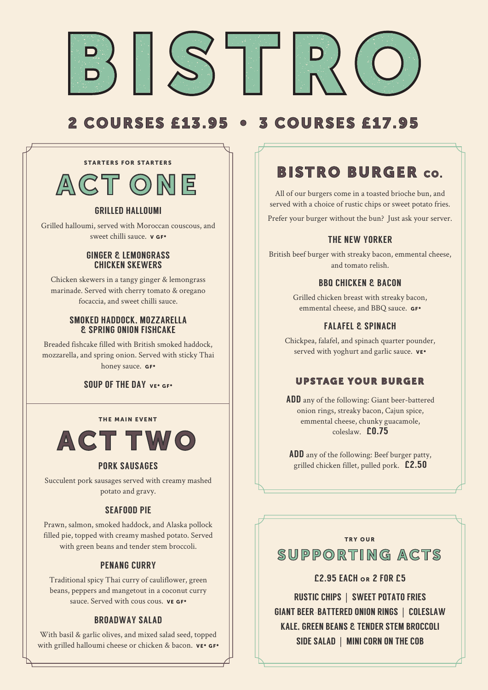

# 2 COURSES £13.95 • 3 COURSES £17.95

# ACT ONE STARTERS FOR STARTERS

### GRILLED HALLOUMI

Grilled halloumi, served with Moroccan couscous, and sweet chilli sauce. v GF\*

#### GINGER & LEMONGRASS CHICKEN SKEWERS

Chicken skewers in a tangy ginger & lemongrass marinade. Served with cherry tomato & oregano focaccia, and sweet chilli sauce.

#### SMOKED HADDOCK, MOZZARELLA & SPRING ONION FISHCAKE

Breaded fishcake filled with British smoked haddock, mozzarella, and spring onion. Served with sticky Thai honey sauce. GF\*

### SOUP OF THE DAY VET GET

#### THE MAIN EVENT



### PORK SAUSAGES

Succulent pork sausages served with creamy mashed potato and gravy.

### SEAFOOD PIE

Prawn, salmon, smoked haddock, and Alaska pollock filled pie, topped with creamy mashed potato. Served with green beans and tender stem broccoli.

### PENANG CURRY

Traditional spicy Thai curry of cauliflower, green beans, peppers and mangetout in a coconut curry sauce. Served with cous cous. **VE GF\*** 

### BROADWAY SALAD

With basil & garlic olives, and mixed salad seed, topped with grilled halloumi cheese or chicken & bacon. VE\* GF\*

# BISTRO BURGER CO.

All of our burgers come in a toasted brioche bun, and served with a choice of rustic chips or sweet potato fries. Prefer your burger without the bun? Just ask your server.

## THE NEW YORKER

British beef burger with streaky bacon, emmental cheese, and tomato relish.

### BBQ CHICKEN & BACON

Grilled chicken breast with streaky bacon, emmental cheese, and BBQ sauce. GF\*

## FALAFEL & SPINACH

Chickpea, falafel, and spinach quarter pounder, served with yoghurt and garlic sauce.  $vE^*$ 

## UPSTAGE YOUR BURGER

ADD any of the following: Giant beer-battered onion rings, streaky bacon, Cajun spice, emmental cheese, chunky guacamole, coleslaw. £0.75

ADD any of the following: Beef burger patty, grilled chicken fillet, pulled pork. £2.50

#### TRY OUR

# SUPPORTING ACTS

## £2.95 EACH OR 2 FOR £5

RUSTIC CHIPS | SWEET POTATO FRIES GIANT BEER–BATTERED ONION RINGS | COLESLAW KALE, GREEN BEANS & TENDER STEM BROCCOLL SIDE SALAD | MINI CORN ON THE COB